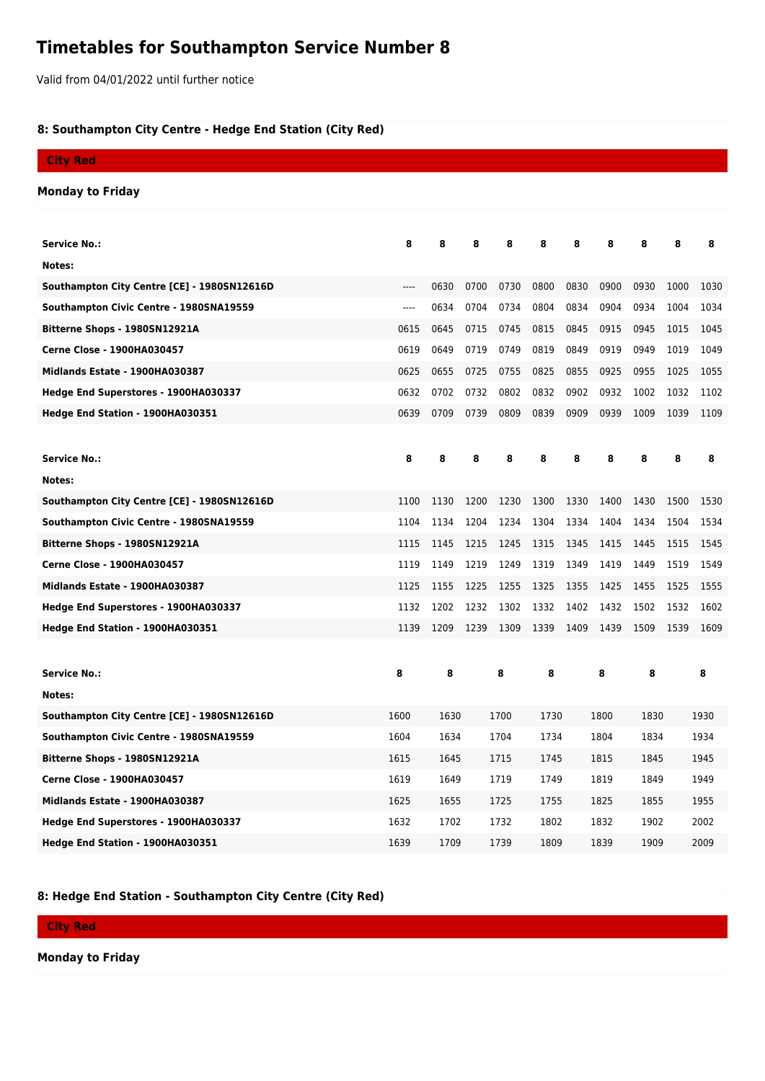## **Timetables for Southampton Service Number 8**

Valid from 04/01/2022 until further notice

## **8: Southampton City Centre - Hedge End Station (City Red)**

| <b>City Red</b>                             |       |      |              |      |              |      |      |      |      |      |  |
|---------------------------------------------|-------|------|--------------|------|--------------|------|------|------|------|------|--|
| <b>Monday to Friday</b>                     |       |      |              |      |              |      |      |      |      |      |  |
|                                             |       |      |              |      |              |      |      |      |      |      |  |
| <b>Service No.:</b>                         | 8     | 8    | 8            | 8    | 8            | 8    | 8    | 8    | 8    | 8    |  |
| Notes:                                      |       |      |              |      |              |      |      |      |      |      |  |
| Southampton City Centre [CE] - 1980SN12616D | $---$ | 0630 | 0700         | 0730 | 0800         | 0830 | 0900 | 0930 | 1000 | 1030 |  |
| Southampton Civic Centre - 1980SNA19559     | $---$ | 0634 | 0704         | 0734 | 0804         | 0834 | 0904 | 0934 | 1004 | 1034 |  |
| Bitterne Shops - 1980SN12921A               | 0615  | 0645 | 0715         | 0745 | 0815         | 0845 | 0915 | 0945 | 1015 | 1045 |  |
| <b>Cerne Close - 1900HA030457</b>           | 0619  | 0649 | 0719         | 0749 | 0819         | 0849 | 0919 | 0949 | 1019 | 1049 |  |
| Midlands Estate - 1900HA030387              | 0625  | 0655 | 0725         | 0755 | 0825         | 0855 | 0925 | 0955 | 1025 | 1055 |  |
| Hedge End Superstores - 1900HA030337        | 0632  | 0702 | 0732         | 0802 | 0832         | 0902 | 0932 | 1002 | 1032 | 1102 |  |
| Hedge End Station - 1900HA030351            | 0639  | 0709 | 0739         | 0809 | 0839         | 0909 | 0939 | 1009 | 1039 | 1109 |  |
|                                             |       |      |              |      |              |      |      |      |      |      |  |
| <b>Service No.:</b>                         | 8     | 8    | 8            | 8    | 8            | 8    | 8    | 8    | 8    | 8    |  |
| Notes:                                      |       |      |              |      |              |      |      |      |      |      |  |
| Southampton City Centre [CE] - 1980SN12616D | 1100  | 1130 | 1200         | 1230 | 1300         | 1330 | 1400 | 1430 | 1500 | 1530 |  |
| Southampton Civic Centre - 1980SNA19559     | 1104  | 1134 | 1204         | 1234 | 1304         | 1334 | 1404 | 1434 | 1504 | 1534 |  |
| Bitterne Shops - 1980SN12921A               | 1115  | 1145 | 1215         | 1245 | 1315         | 1345 | 1415 | 1445 | 1515 | 1545 |  |
| <b>Cerne Close - 1900HA030457</b>           | 1119  | 1149 | 1219         | 1249 | 1319         | 1349 | 1419 | 1449 | 1519 | 1549 |  |
| Midlands Estate - 1900HA030387              | 1125  | 1155 | 1225         | 1255 | 1325         | 1355 | 1425 | 1455 | 1525 | 1555 |  |
| Hedge End Superstores - 1900HA030337        | 1132  | 1202 | 1232         | 1302 | 1332         | 1402 | 1432 | 1502 | 1532 | 1602 |  |
| Hedge End Station - 1900HA030351            | 1139  | 1209 | 1239         | 1309 | 1339         | 1409 | 1439 | 1509 | 1539 | 1609 |  |
|                                             |       |      |              |      |              |      |      |      |      |      |  |
| <b>Service No.:</b>                         | 8     | 8    |              | 8    | 8            |      | 8    | 8    |      | 8    |  |
| Notes:                                      |       |      |              |      |              |      |      |      |      |      |  |
| Southampton City Centre [CE] - 1980SN12616D | 1600  |      | 1630<br>1700 |      | 1730<br>1800 |      |      | 1830 |      | 1930 |  |
| Southampton Civic Centre - 1980SNA19559     | 1604  | 1634 |              | 1704 | 1734         |      | 1804 | 1834 |      | 1934 |  |
| Bitterne Shops - 1980SN12921A               | 1615  | 1645 |              | 1715 | 1745         |      | 1815 | 1845 |      | 1945 |  |
| <b>Cerne Close - 1900HA030457</b>           | 1619  |      | 1719<br>1649 |      | 1749         |      | 1819 | 1849 |      | 1949 |  |
| Midlands Estate - 1900HA030387              | 1625  | 1655 |              | 1725 | 1755         |      | 1825 | 1855 |      | 1955 |  |
| Hedge End Superstores - 1900HA030337        | 1632  | 1702 |              | 1732 | 1802         |      | 1832 | 1902 |      | 2002 |  |
| Hedge End Station - 1900HA030351            | 1639  | 1709 |              | 1739 | 1809         |      | 1839 | 1909 |      | 2009 |  |

## **8: Hedge End Station - Southampton City Centre (City Red)**

## **City Red**

**Monday to Friday**